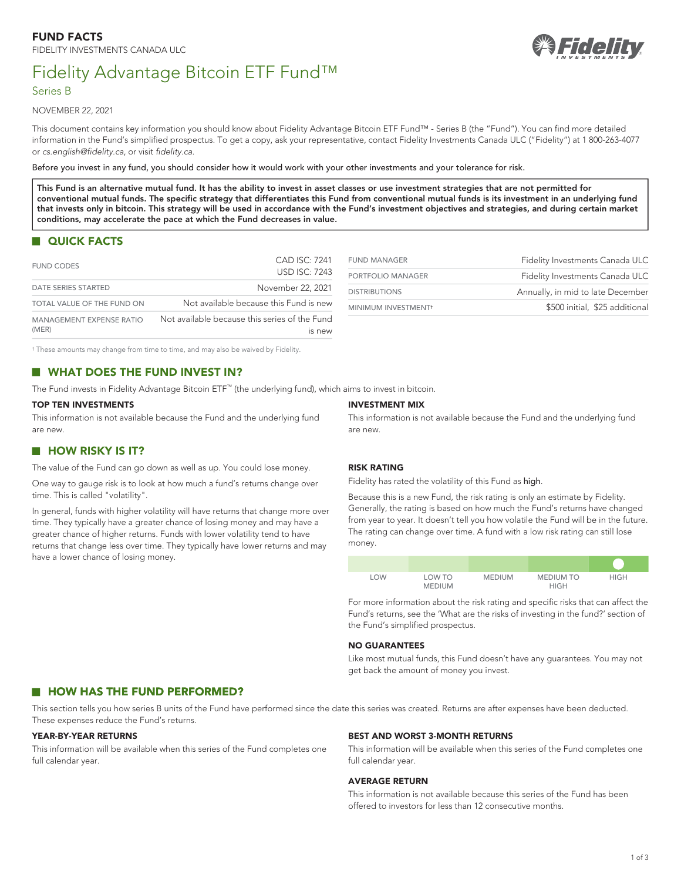# Fidelity Advantage Bitcoin ETF Fund™



## Series B

NOVEMBER 22, 2021

This document contains key information you should know about Fidelity Advantage Bitcoin ETF Fund™ - Series B (the "Fund"). You can find more detailed information in the Fund's simplified prospectus. To get a copy, ask your representative, contact Fidelity Investments Canada ULC ("Fidelity") at 1 800-263-4077 or *[cs.english@fidelity.ca](mailto:cs.english@fidelity.ca)*, or visit *[fidelity.ca](https://www.fidelity.ca)*.

Before you invest in any fund, you should consider how it would work with your other investments and your tolerance for risk.

**This Fund is an alternative mutual fund. It has the ability to invest in asset classes or use investment strategies that are not permitted for conventional mutual funds. The specific strategy that differentiates this Fund from conventional mutual funds is its investment in an underlying fund that invests only in bitcoin. This strategy will be used in accordance with the Fund's investment objectives and strategies, and during certain market conditions, may accelerate the pace at which the Fund decreases in value.**

## **QUICK FACTS**

| <b>FUND CODES</b>                 | CAD ISC: 7241<br><b>USD ISC: 7243</b>                   |
|-----------------------------------|---------------------------------------------------------|
| <b>DATE SERIES STARTED</b>        | November 22, 2021                                       |
| TOTAL VALUE OF THE FUND ON        | Not available because this Fund is new                  |
| MANAGEMENT EXPENSE RATIO<br>(MER) | Not available because this series of the Fund<br>IS New |

<span id="page-0-1"></span>

| <b>FUND MANAGER</b>             | Fidelity Investments Canada ULC   |
|---------------------------------|-----------------------------------|
| PORTFOLIO MANAGER               | Fidelity Investments Canada ULC   |
| <b>DISTRIBUTIONS</b>            | Annually, in mid to late December |
| MINIMUM INVESTMENT <sup>+</sup> | \$500 initial, \$25 additional    |
|                                 |                                   |

<span id="page-0-0"></span>[†](#page-0-1) These amounts may change from time to time, and may also be waived by Fidelity.

## **WHAT DOES THE FUND INVEST IN?**

The Fund invests in Fidelity Advantage Bitcoin ETF™ (the underlying fund), which aims to invest in bitcoin.

#### **TOP TEN INVESTMENTS**

This information is not available because the Fund and the underlying fund are new.

## **HOW RISKY IS IT?**

The value of the Fund can go down as well as up. You could lose money.

One way to gauge risk is to look at how much a fund's returns change over time. This is called "volatility".

In general, funds with higher volatility will have returns that change more over time. They typically have a greater chance of losing money and may have a greater chance of higher returns. Funds with lower volatility tend to have returns that change less over time. They typically have lower returns and may have a lower chance of losing money.

#### **INVESTMENT MIX**

This information is not available because the Fund and the underlying fund are new.

#### **RISK RATING**

Fidelity has rated the volatility of this Fund as high.

Because this is a new Fund, the risk rating is only an estimate by Fidelity. Generally, the rating is based on how much the Fund's returns have changed from year to year. It doesn't tell you how volatile the Fund will be in the future. The rating can change over time. A fund with a low risk rating can still lose money.

| <b>LOW</b> | LOW TO<br><b>MEDIUM</b> | <b>MEDIUM</b> | <b>MEDIUM TO</b><br><b>HIGH</b> | <b>HIGH</b> |
|------------|-------------------------|---------------|---------------------------------|-------------|

For more information about the risk rating and specific risks that can affect the Fund's returns, see the 'What are the risks of investing in the fund?' section of the Fund's simplified prospectus.

#### **NO GUARANTEES**

Like most mutual funds, this Fund doesn't have any guarantees. You may not get back the amount of money you invest.

## **HOW HAS THE FUND PERFORMED?**

This section tells you how series B units of the Fund have performed since the date this series was created. Returns are after expenses have been deducted. These expenses reduce the Fund's returns.

#### **YEAR-BY-YEAR RETURNS**

This information will be available when this series of the Fund completes one full calendar year.

### **BEST AND WORST 3-MONTH RETURNS**

This information will be available when this series of the Fund completes one full calendar year.

#### **AVERAGE RETURN**

This information is not available because this series of the Fund has been offered to investors for less than 12 consecutive months.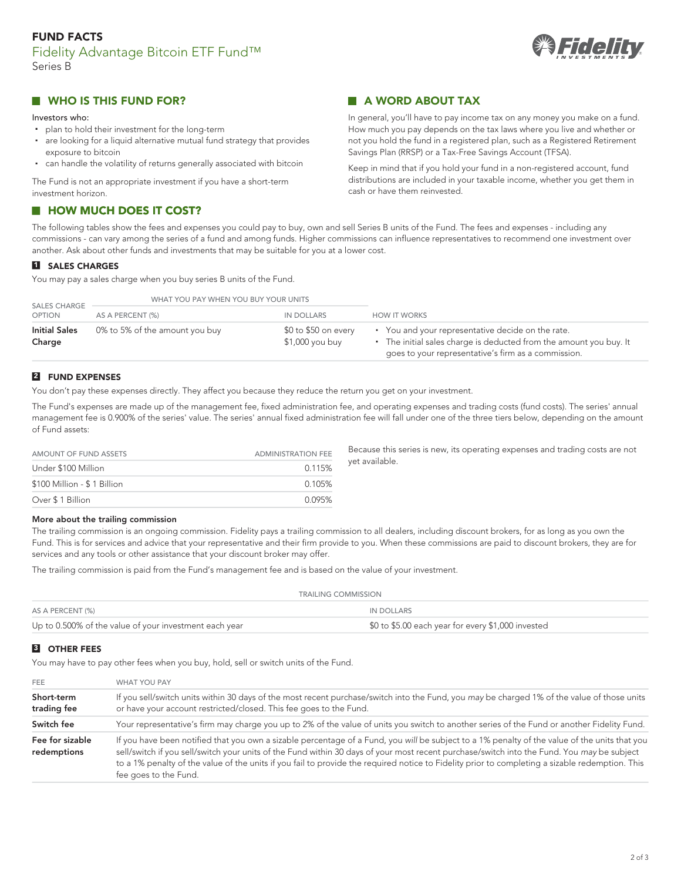## **FUND FACTS** Fidelity Advantage Bitcoin ETF Fund™ Series B



## **WHO IS THIS FUND FOR?**

#### Investors who:

- plan to hold their investment for the long-term
- are looking for a liquid alternative mutual fund strategy that provides exposure to bitcoin
- can handle the volatility of returns generally associated with bitcoin

The Fund is not an appropriate investment if you have a short-term investment horizon.

#### **HOW MUCH DOES IT COST?** m.

**A WORD ABOUT TAX**

In general, you'll have to pay income tax on any money you make on a fund. How much you pay depends on the tax laws where you live and whether or not you hold the fund in a registered plan, such as a Registered Retirement Savings Plan (RRSP) or a Tax-Free Savings Account (TFSA).

Keep in mind that if you hold your fund in a non-registered account, fund distributions are included in your taxable income, whether you get them in cash or have them reinvested.

The following tables show the fees and expenses you could pay to buy, own and sell Series B units of the Fund. The fees and expenses - including any commissions - can vary among the series of a fund and among funds. Higher commissions can influence representatives to recommend one investment over another. Ask about other funds and investments that may be suitable for you at a lower cost.

## **1 SALES CHARGES**

You may pay a sales charge when you buy series B units of the Fund.

| <b>SALES CHARGE</b>            | WHAT YOU PAY WHEN YOU BUY YOUR UNITS |                                         |                                                                                                                                                                                |
|--------------------------------|--------------------------------------|-----------------------------------------|--------------------------------------------------------------------------------------------------------------------------------------------------------------------------------|
| <b>OPTION</b>                  | AS A PERCENT (%)                     | IN DOLLARS                              | <b>HOW IT WORKS</b>                                                                                                                                                            |
| <b>Initial Sales</b><br>Charge | 0% to 5% of the amount you buy       | \$0 to \$50 on every<br>\$1,000 you buy | • You and your representative decide on the rate.<br>• The initial sales charge is deducted from the amount you buy. It<br>goes to your representative's firm as a commission. |

## **2 FUND EXPENSES**

You don't pay these expenses directly. They affect you because they reduce the return you get on your investment.

The Fund's expenses are made up of the management fee, fixed administration fee, and operating expenses and trading costs (fund costs). The series' annual management fee is 0.900% of the series' value. The series' annual fixed administration fee will fall under one of the three tiers below, depending on the amount of Fund assets:

| AMOUNT OF FUND ASSETS       | <b>ADMINISTRATION FEE</b> |
|-----------------------------|---------------------------|
| Under \$100 Million         | 0.115%                    |
| \$100 Million - \$1 Billion | 0.105%                    |
| Over \$1 Billion            | 0.095%                    |

Because this series is new, its operating expenses and trading costs are not yet available.

#### **More about the trailing commission**

The trailing commission is an ongoing commission. Fidelity pays a trailing commission to all dealers, including discount brokers, for as long as you own the Fund. This is for services and advice that your representative and their firm provide to you. When these commissions are paid to discount brokers, they are for services and any tools or other assistance that your discount broker may offer.

The trailing commission is paid from the Fund's management fee and is based on the value of your investment.

| TRAILING COMMISSION                                    |                                                    |  |
|--------------------------------------------------------|----------------------------------------------------|--|
| AS A PERCENT (%)                                       | IN DOLLARS                                         |  |
| Up to 0.500% of the value of your investment each year | \$0 to \$5.00 each year for every \$1,000 invested |  |

## **3 OTHER FEES**

You may have to pay other fees when you buy, hold, sell or switch units of the Fund.

| <b>FEE</b>                     | <b>WHAT YOU PAY</b>                                                                                                                                                                                                                                                                                                                                                                                                                                                     |  |
|--------------------------------|-------------------------------------------------------------------------------------------------------------------------------------------------------------------------------------------------------------------------------------------------------------------------------------------------------------------------------------------------------------------------------------------------------------------------------------------------------------------------|--|
| Short-term<br>trading fee      | If you sell/switch units within 30 days of the most recent purchase/switch into the Fund, you may be charged 1% of the value of those units<br>or have your account restricted/closed. This fee goes to the Fund.                                                                                                                                                                                                                                                       |  |
| Switch fee                     | Your representative's firm may charge you up to 2% of the value of units you switch to another series of the Fund or another Fidelity Fund.                                                                                                                                                                                                                                                                                                                             |  |
| Fee for sizable<br>redemptions | If you have been notified that you own a sizable percentage of a Fund, you will be subject to a 1% penalty of the value of the units that you<br>sell/switch if you sell/switch your units of the Fund within 30 days of your most recent purchase/switch into the Fund. You may be subject<br>to a 1% penalty of the value of the units if you fail to provide the required notice to Fidelity prior to completing a sizable redemption. This<br>fee goes to the Fund. |  |